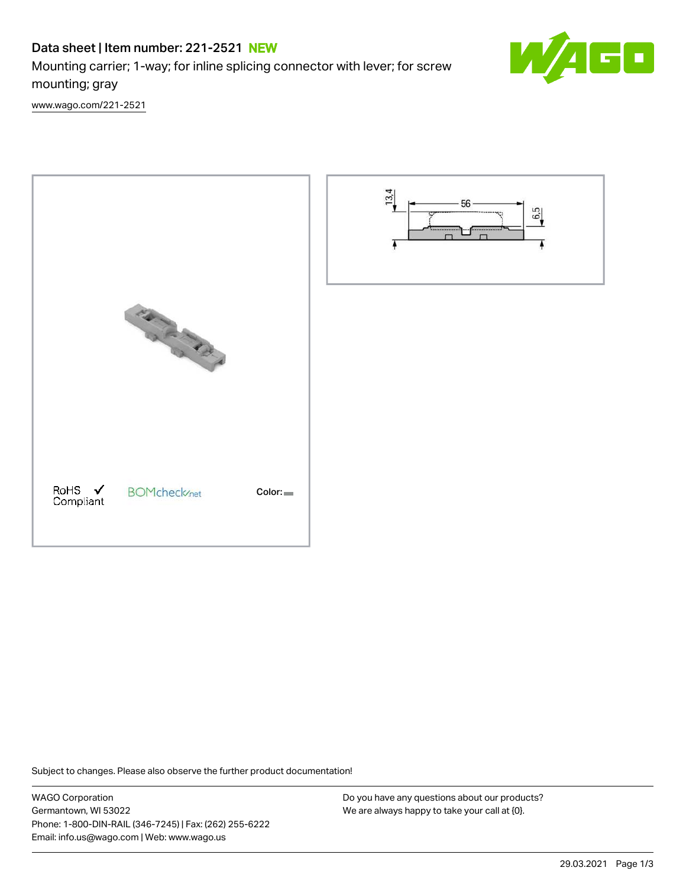# Data sheet | Item number: 221-2521 NEW

Mounting carrier; 1-way; for inline splicing connector with lever; for screw mounting; gray

O

[www.wago.com/221-2521](http://www.wago.com/221-2521)



Subject to changes. Please also observe the further product documentation!

WAGO Corporation Germantown, WI 53022 Phone: 1-800-DIN-RAIL (346-7245) | Fax: (262) 255-6222 Email: info.us@wago.com | Web: www.wago.us

Do you have any questions about our products? We are always happy to take your call at {0}.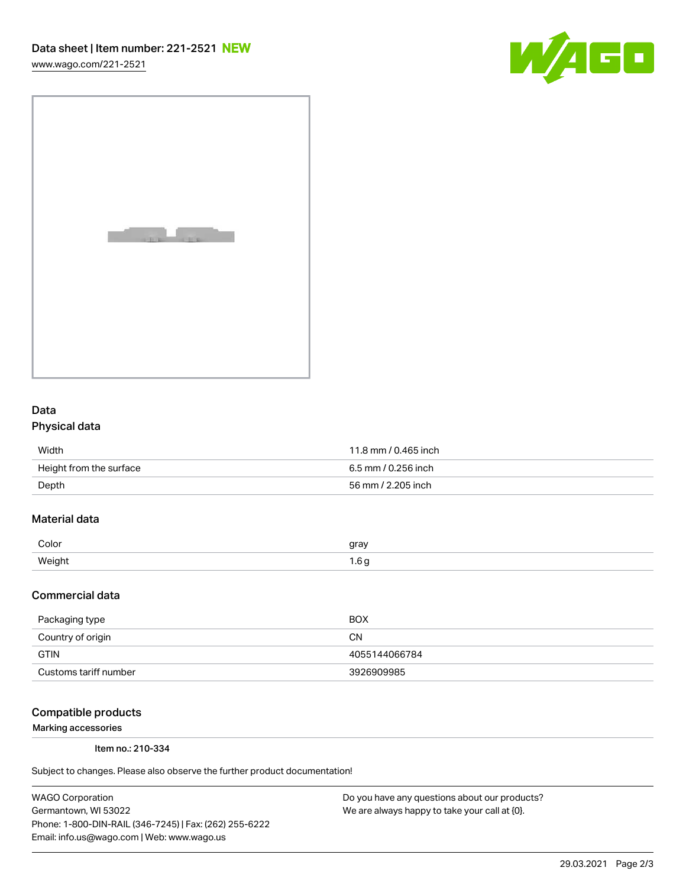[www.wago.com/221-2521](http://www.wago.com/221-2521)





## Data Physical data

| Width                   | 11.8 mm / 0.465 inch |
|-------------------------|----------------------|
| Height from the surface | 6.5 mm / 0.256 inch  |
| Depth                   | 56 mm / 2.205 inch   |

## Material data

| Color      | T21 |
|------------|-----|
| Weiał<br>. |     |

#### Commercial data

| Packaging type        | <b>BOX</b>    |
|-----------------------|---------------|
| Country of origin     | CΝ            |
| GTIN                  | 4055144066784 |
| Customs tariff number | 3926909985    |

### Compatible products

Marking accessories

Item no.: 210-334

Subject to changes. Please also observe the further product documentation!

WAGO Corporation Germantown, WI 53022 Phone: 1-800-DIN-RAIL (346-7245) | Fax: (262) 255-6222 Email: info.us@wago.com | Web: www.wago.us

Do you have any questions about our products? We are always happy to take your call at {0}.